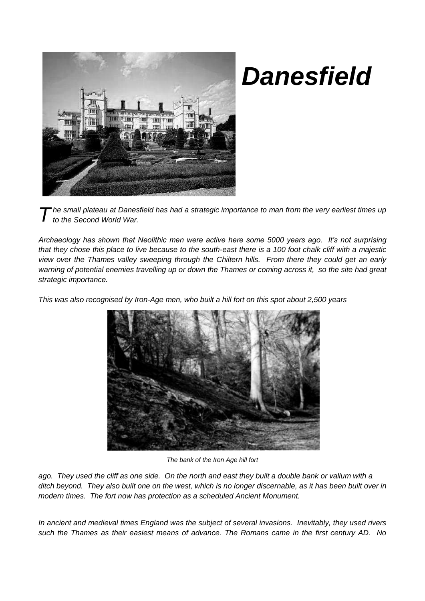

## *Danesfield*

*he small plateau at Danesfield has had a strategic importance to man from the very earliest times up to the Second World War. T*

*Archaeology has shown that Neolithic men were active here some 5000 years ago. It's not surprising that they chose this place to live because to the south-east there is a 100 foot chalk cliff with a majestic view over the Thames valley sweeping through the Chiltern hills. From there they could get an early warning of potential enemies travelling up or down the Thames or coming across it, so the site had great strategic importance.*

*This was also recognised by Iron-Age men, who built a hill fort on this spot about 2,500 years*



*The bank of the Iron Age hill fort*

*ago. They used the cliff as one side. On the north and east they built a double bank or vallum with a ditch beyond. They also built one on the west, which is no longer discernable, as it has been built over in modern times. The fort now has protection as a scheduled Ancient Monument.*

*In ancient and medieval times England was the subject of several invasions. Inevitably, they used rivers such the Thames as their easiest means of advance. The Romans came in the first century AD. No*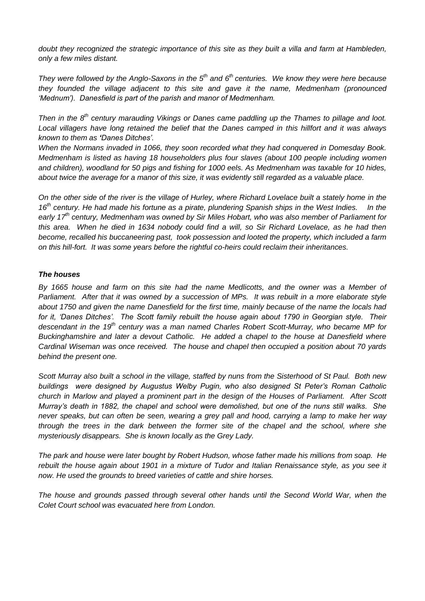*doubt they recognized the strategic importance of this site as they built a villa and farm at Hambleden, only a few miles distant.* 

*They were followed by the Anglo-Saxons in the 5th and 6th centuries. We know they were here because they founded the village adjacent to this site and gave it the name, Medmenham (pronounced 'Mednum'). Danesfield is part of the parish and manor of Medmenham.* 

*Then in the 8th century marauding Vikings or Danes came paddling up the Thames to pillage and loot. Local villagers have long retained the belief that the Danes camped in this hillfort and it was always known to them as 'Danes Ditches'.* 

*When the Normans invaded in 1066, they soon recorded what they had conquered in Domesday Book. Medmenham is listed as having 18 householders plus four slaves (about 100 people including women and children), woodland for 50 pigs and fishing for 1000 eels. As Medmenham was taxable for 10 hides, about twice the average for a manor of this size, it was evidently still regarded as a valuable place.*

*On the other side of the river is the village of Hurley, where Richard Lovelace built a stately home in the 16th century. He had made his fortune as a pirate, plundering Spanish ships in the West Indies. In the early 17th century, Medmenham was owned by Sir Miles Hobart, who was also member of Parliament for this area. When he died in 1634 nobody could find a will, so Sir Richard Lovelace, as he had then become, recalled his buccaneering past, took possession and looted the property, which included a farm on this hill-fort. It was some years before the rightful co-heirs could reclaim their inheritances.*

## *The houses*

*By 1665 house and farm on this site had the name Medlicotts, and the owner was a Member of Parliament. After that it was owned by a succession of MPs. It was rebuilt in a more elaborate style about 1750 and given the name Danesfield for the first time, mainly because of the name the locals had*  for it, 'Danes Ditches'. The Scott family rebuilt the house again about 1790 in Georgian style. Their *descendant in the 19th century was a man named Charles Robert Scott-Murray, who became MP for Buckinghamshire and later a devout Catholic. He added a chapel to the house at Danesfield where Cardinal Wiseman was once received. The house and chapel then occupied a position about 70 yards behind the present one.*

*Scott Murray also built a school in the village, staffed by nuns from the Sisterhood of St Paul. Both new buildings were designed by Augustus Welby Pugin, who also designed St Peter's Roman Catholic church in Marlow and played a prominent part in the design of the Houses of Parliament. After Scott Murray's death in 1882, the chapel and school were demolished, but one of the nuns still walks. She never speaks, but can often be seen, wearing a grey pall and hood, carrying a lamp to make her way through the trees in the dark between the former site of the chapel and the school, where she mysteriously disappears. She is known locally as the Grey Lady.*

*The park and house were later bought by Robert Hudson, whose father made his millions from soap. He rebuilt the house again about 1901 in a mixture of Tudor and Italian Renaissance style, as you see it now. He used the grounds to breed varieties of cattle and shire horses.*

*The house and grounds passed through several other hands until the Second World War, when the Colet Court school was evacuated here from London.*